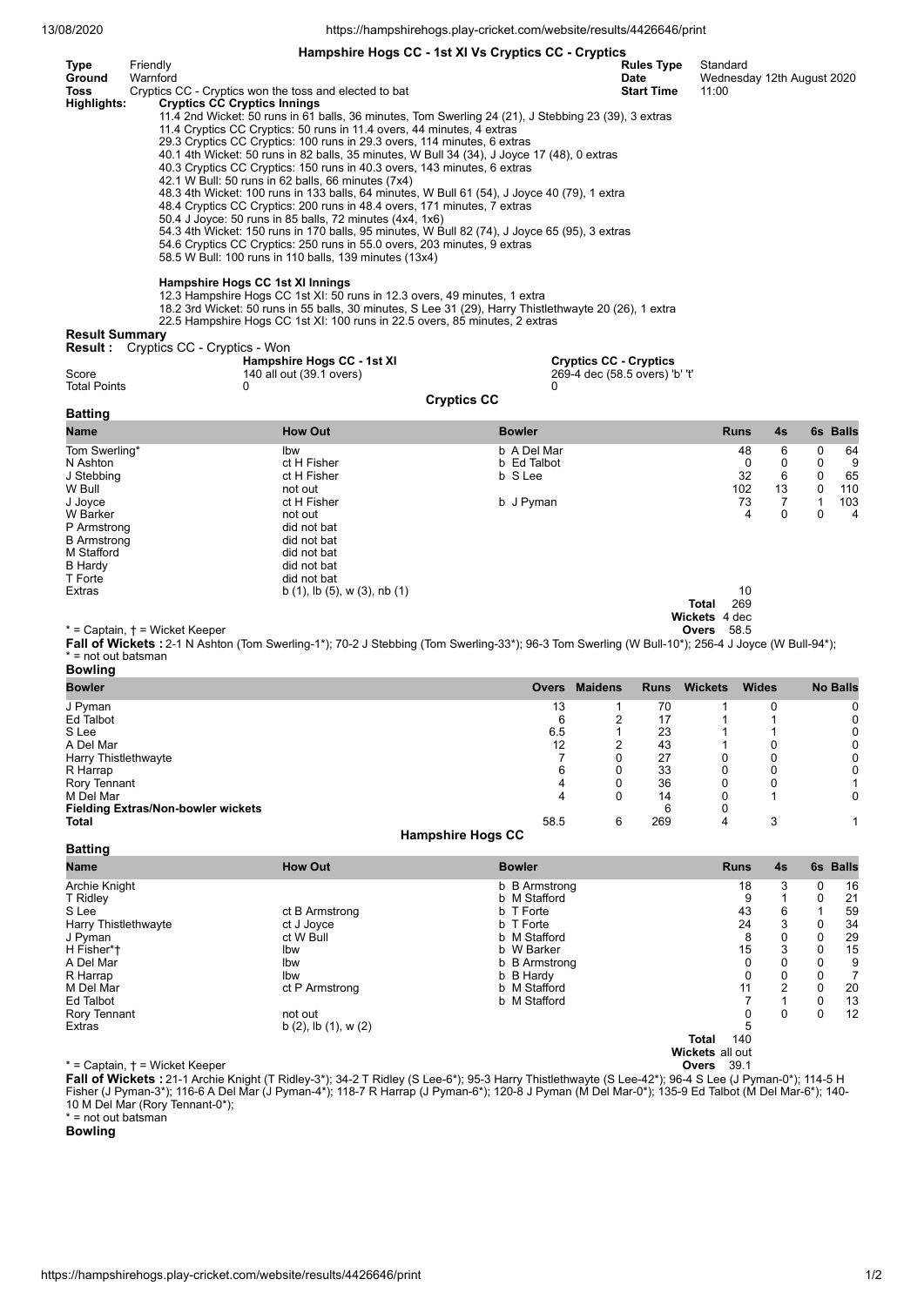13/08/2020 https://hampshirehogs.play-cricket.com/website/results/4426646/print

**Hampshire Hogs CC - 1st XI Vs Cryptics CC - Cryptics**

| Type        | Friendly                                                                                             | <b>Rules Type</b> | Standard                   |
|-------------|------------------------------------------------------------------------------------------------------|-------------------|----------------------------|
| Ground      | Warnford                                                                                             | Date              | Wednesday 12th August 2020 |
| Toss        | Cryptics CC - Cryptics won the toss and elected to bat                                               | <b>Start Time</b> | 11:00                      |
| Highlights: | <b>Cryptics CC Cryptics Innings</b>                                                                  |                   |                            |
|             | 11.4 2nd Wicket: 50 runs in 61 balls, 36 minutes, Tom Swerling 24 (21), J Stebbing 23 (39), 3 extras |                   |                            |
|             | 11.4 Cryptics CC Cryptics: 50 runs in 11.4 overs, 44 minutes, 4 extras                               |                   |                            |
|             | 29.3 Cryptics CC Cryptics: 100 runs in 29.3 overs, 114 minutes, 6 extras                             |                   |                            |
|             | 40.1 4th Wicket: 50 runs in 82 balls, 35 minutes, W Bull 34 (34), J Joyce 17 (48), 0 extras          |                   |                            |
|             | 40.3 Cryptics CC Cryptics: 150 runs in 40.3 overs, 143 minutes, 6 extras                             |                   |                            |
|             | 42.1 W Bull: 50 runs in 62 balls, 66 minutes (7x4)                                                   |                   |                            |
|             | 48.3 4th Wicket: 100 runs in 133 balls, 64 minutes, W Bull 61 (54), J Joyce 40 (79), 1 extra         |                   |                            |
|             | 48.4 Cryptics CC Cryptics: 200 runs in 48.4 overs, 171 minutes, 7 extras                             |                   |                            |
|             | 50.4 J Joyce: 50 runs in 85 balls, 72 minutes (4x4, 1x6)                                             |                   |                            |
|             | 54.3 4th Wicket: 150 runs in 170 balls, 95 minutes, W Bull 82 (74), J Joyce 65 (95), 3 extras        |                   |                            |
|             | 54.6 Cryptics CC Cryptics: 250 runs in 55.0 overs, 203 minutes, 9 extras                             |                   |                            |
|             | 58.5 W Bull: 100 runs in 110 balls, 139 minutes (13x4)                                               |                   |                            |
|             | Hampshire Hogs CC 1st XI Innings                                                                     |                   |                            |
|             | 12.3 Hampshire Hogs CC 1st XI: 50 runs in 12.3 overs, 49 minutes, 1 extra                            |                   |                            |

18.2 3rd Wicket: 50 runs in 55 balls, 30 minutes, S Lee 31 (29), Harry Thistlethwayte 20 (26), 1 extra 22.5 Hampshire Hogs CC 1st XI: 100 runs in 22.5 overs, 85 minutes, 2 extras

## **Result Summary**

| <b>Result :</b>              | Cryptics CC - Cryptics - Won                                |                                                                      |               |    |   |          |
|------------------------------|-------------------------------------------------------------|----------------------------------------------------------------------|---------------|----|---|----------|
| Score<br><b>Total Points</b> | Hampshire Hogs CC - 1st XI<br>140 all out (39.1 overs)<br>0 | <b>Cryptics CC - Cryptics</b><br>269-4 dec (58.5 overs) 'b' 't'<br>0 |               |    |   |          |
|                              |                                                             | <b>Cryptics CC</b>                                                   |               |    |   |          |
| <b>Batting</b>               |                                                             |                                                                      |               |    |   |          |
| Name                         | <b>How Out</b>                                              | <b>Bowler</b>                                                        | <b>Runs</b>   | 4s |   | 6s Balls |
| Tom Swerling*                | Ibw                                                         | b A Del Mar                                                          | 48            | 6  | 0 | 64       |
| N Ashton                     | ct H Fisher                                                 | b Ed Talbot                                                          | 0             | 0  | 0 | 9        |
| J Stebbing                   | ct H Fisher                                                 | b S Lee                                                              | 32            | 6  | 0 | 65       |
| W Bull                       | not out                                                     |                                                                      | 102           | 13 | 0 | 110      |
| J Joyce                      | ct H Fisher                                                 | b J Pyman                                                            | 73            | 7  |   | 103      |
| W Barker                     | not out                                                     |                                                                      | 4             | 0  | 0 | 4        |
| P Armstrong                  | did not bat                                                 |                                                                      |               |    |   |          |
| <b>B</b> Armstrong           | did not bat                                                 |                                                                      |               |    |   |          |
| M Stafford                   | did not bat                                                 |                                                                      |               |    |   |          |
| <b>B</b> Hardy               | did not bat                                                 |                                                                      |               |    |   |          |
| T Forte                      | did not bat                                                 |                                                                      |               |    |   |          |
| Extras                       | b $(1)$ , lb $(5)$ , w $(3)$ , nb $(1)$                     |                                                                      | 10            |    |   |          |
|                              |                                                             |                                                                      | 269<br>Total  |    |   |          |
|                              |                                                             |                                                                      | Wickets 4 dec |    |   |          |

\* = Captain, † = Wicket Keeper **Overs** 58.5

Fall of Wickets : 2-1 N Ashton (Tom Swerling-1\*); 70-2 J Stebbing (Tom Swerling-33\*); 96-3 Tom Swerling (W Bull-10\*); 256-4 J Joyce (W Bull-94\*); \* = not out batsman **Bowling**

| -------                                   |                          |                |             |                |              |                 |
|-------------------------------------------|--------------------------|----------------|-------------|----------------|--------------|-----------------|
| <b>Bowler</b>                             | <b>Overs</b>             | <b>Maidens</b> | <b>Runs</b> | <b>Wickets</b> | <b>Wides</b> | <b>No Balls</b> |
| J Pyman                                   | 13                       |                | 70          |                |              |                 |
| Ed Talbot                                 | 6                        | ◠              | 17          |                |              |                 |
| S Lee                                     | 6.5                      |                | 23          |                |              |                 |
| A Del Mar                                 | 12                       | າ              | 43          |                |              |                 |
| Harry Thistlethwayte                      |                          |                | 27          | 0              |              | 0               |
| R Harrap                                  | 6                        | 0              | 33          | 0              |              |                 |
| Rory Tennant                              | 4                        |                | 36          |                |              |                 |
| M Del Mar                                 | 4                        | 0              | 14          |                |              | 0               |
| <b>Fielding Extras/Non-bowler wickets</b> |                          |                | 6           |                |              |                 |
| <b>Total</b>                              | 58.5                     | 6              | 269         | 4              | 3            |                 |
|                                           | <b>Hampshire Hogs CC</b> |                |             |                |              |                 |

**Batting**

| Datuny                                   |                              |               |                        |    |   |          |
|------------------------------------------|------------------------------|---------------|------------------------|----|---|----------|
| Name                                     | <b>How Out</b>               | <b>Bowler</b> | <b>Runs</b>            | 4s |   | 6s Balls |
| Archie Knight                            |                              | b B Armstrong | 18                     | 3  | 0 | 16       |
| T Ridley                                 |                              | b M Stafford  | 9                      |    | 0 | 21       |
| S Lee                                    | ct B Armstrong               | b T Forte     | 43                     | 6  |   | 59       |
| Harry Thistlethwayte                     | ct J Joyce                   | b T Forte     | 24                     | 3  | 0 | 34       |
| J Pyman                                  | ct W Bull                    | b M Stafford  | 8                      | 0  | 0 | 29       |
| H Fisher*†                               | Ibw                          | b W Barker    | 15                     | 3  | 0 | 15       |
| A Del Mar                                | Ibw                          | b B Armstrong | 0                      | 0  | 0 | 9        |
| R Harrap                                 | Ibw                          | b B Hardy     | 0                      | 0  | 0 |          |
| M Del Mar                                | ct P Armstrong               | b M Stafford  | 11                     | 2  | 0 | 20       |
| Ed Talbot                                |                              | b M Stafford  |                        |    | 0 | 13       |
| Rory Tennant                             | not out                      |               | 0                      | 0  | 0 | 12       |
| Extras                                   | b $(2)$ , lb $(1)$ , w $(2)$ |               | 5                      |    |   |          |
|                                          |                              |               | 140<br>Total           |    |   |          |
|                                          |                              |               | <b>Wickets all out</b> |    |   |          |
| $*$ = Captain, $\dagger$ = Wicket Keeper |                              |               | - 39.1<br>Overs        |    |   |          |

**Fall of Wickets :**21-1 Archie Knight (T Ridley-3\*); 34-2 T Ridley (S Lee-6\*); 95-3 Harry Thistlethwayte (S Lee-42\*); 96-4 S Lee (J Pyman-0\*); 114-5 H Fisher (J Pyman-3\*); 116-6 A Del Mar (J Pyman-4\*); 118-7 R Harrap (J Pyman-6\*); 120-8 J Pyman (M Del Mar-0\*); 135-9 Ed Talbot (M Del Mar-6\*); 140- 10 M Del Mar (Rory Tennant-0\*); \* = not out batsman

**Bowling**